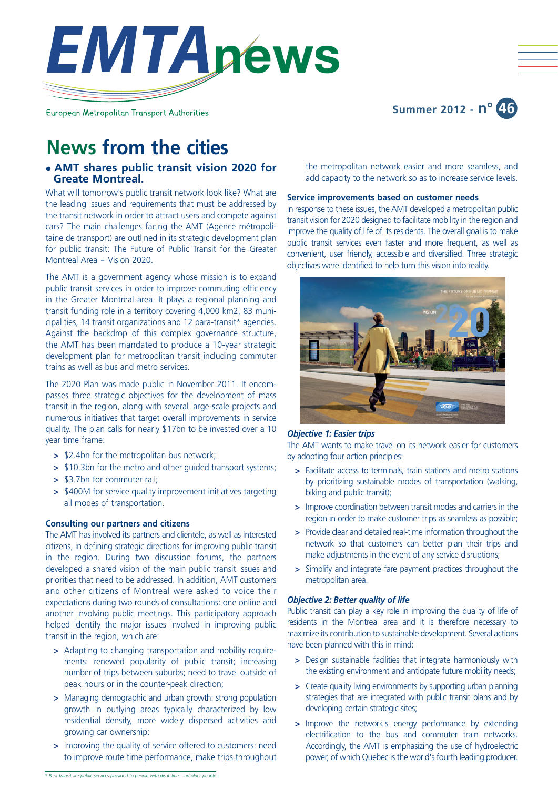

European Metropolitan Transport Authorities

# **Summer 2012 - n° 46**

# **News from the cities**

## **• AMT shares public transit vision 2020 for Greate Montreal.**

What will tomorrow's public transit network look like? What are the leading issues and requirements that must be addressed by the transit network in order to attract users and compete against cars? The main challenges facing the AMT (Agence métropolitaine de transport) are outlined in its strategic development plan for public transit: The Future of Public Transit for the Greater Montreal Area ‒ Vision 2020.

The AMT is a government agency whose mission is to expand public transit services in order to improve commuting efficiency in the Greater Montreal area. It plays a regional planning and transit funding role in a territory covering 4,000 km2, 83 municipalities, 14 transit organizations and 12 para-transit\* agencies. Against the backdrop of this complex governance structure, the AMT has been mandated to produce a 10-year strategic development plan for metropolitan transit including commuter trains as well as bus and metro services.

The 2020 Plan was made public in November 2011. It encompasses three strategic objectives for the development of mass transit in the region, along with several large-scale projects and numerous initiatives that target overall improvements in service quality. The plan calls for nearly \$17bn to be invested over a 10 year time frame:

- **>** \$2.4bn for the metropolitan bus network;
- **>** \$10.3bn for the metro and other guided transport systems;
- **>** \$3.7bn for commuter rail;
- **>** \$400M for service quality improvement initiatives targeting all modes of transportation.

## **Consulting our partners and citizens**

The AMT has involved its partners and clientele, as well as interested citizens, in defining strategic directions for improving public transit in the region. During two discussion forums, the partners developed a shared vision of the main public transit issues and priorities that need to be addressed. In addition, AMT customers and other citizens of Montreal were asked to voice their expectations during two rounds of consultations: one online and another involving public meetings. This participatory approach helped identify the major issues involved in improving public transit in the region, which are:

- **>** Adapting to changing transportation and mobility requirements: renewed popularity of public transit; increasing number of trips between suburbs; need to travel outside of peak hours or in the counter-peak direction;
- **>** Managing demographic and urban growth: strong population growth in outlying areas typically characterized by low residential density, more widely dispersed activities and growing car ownership;
- **>** Improving the quality of service offered to customers: need to improve route time performance, make trips throughout

the metropolitan network easier and more seamless, and add capacity to the network so as to increase service levels.

### **Service improvements based on customer needs**

In response to these issues, the AMT developed a metropolitan public transit vision for 2020 designed to facilitate mobility in the region and improve the quality of life of its residents. The overall goal is to make public transit services even faster and more frequent, as well as convenient, user friendly, accessible and diversified. Three strategic objectives were identified to help turn this vision into reality.



#### *Objective 1: Easier trips*

The AMT wants to make travel on its network easier for customers by adopting four action principles:

- **>** Facilitate access to terminals, train stations and metro stations by prioritizing sustainable modes of transportation (walking, biking and public transit);
- **>** Improve coordination between transit modes and carriers in the region in order to make customer trips as seamless as possible;
- **>** Provide clear and detailed real-time information throughout the network so that customers can better plan their trips and make adjustments in the event of any service disruptions;
- **>** Simplify and integrate fare payment practices throughout the metropolitan area.

## *Objective 2: Better quality of life*

Public transit can play a key role in improving the quality of life of residents in the Montreal area and it is therefore necessary to maximize its contribution to sustainable development. Several actions have been planned with this in mind:

- **>** Design sustainable facilities that integrate harmoniously with the existing environment and anticipate future mobility needs;
- **>** Create quality living environments by supporting urban planning strategies that are integrated with public transit plans and by developing certain strategic sites;
- **>** Improve the network's energy performance by extending electrification to the bus and commuter train networks. Accordingly, the AMT is emphasizing the use of hydroelectric power, of which Quebec is the world's fourth leading producer.

*<sup>\*</sup> Para-transit are public services provided to people with disabilities and older people*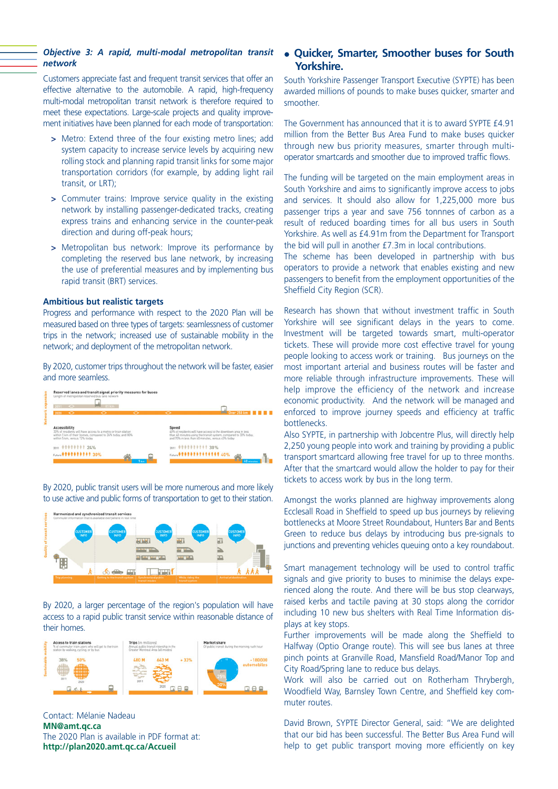## *Objective 3: A rapid, multi-modal metropolitan transit network*

Customers appreciate fast and frequent transit services that offer an effective alternative to the automobile. A rapid, high-frequency multi-modal metropolitan transit network is therefore required to meet these expectations. Large-scale projects and quality improvement initiatives have been planned for each mode of transportation:

- **>** Metro: Extend three of the four existing metro lines; add system capacity to increase service levels by acquiring new rolling stock and planning rapid transit links for some major transportation corridors (for example, by adding light rail transit, or LRT);
- **>** Commuter trains: Improve service quality in the existing network by installing passenger-dedicated tracks, creating express trains and enhancing service in the counter-peak direction and during off-peak hours;
- **>** Metropolitan bus network: Improve its performance by completing the reserved bus lane network, by increasing the use of preferential measures and by implementing bus rapid transit (BRT) services.

## **Ambitious but realistic targets**

Progress and performance with respect to the 2020 Plan will be measured based on three types of targets: seamlessness of customer trips in the network; increased use of sustainable mobility in the network; and deployment of the metropolitan network.

By 2020, customer trips throughout the network will be faster, easier and more seamless.



By 2020, public transit users will be more numerous and more likely to use active and public forms of transportation to get to their station.



By 2020, a larger percentage of the region's population will have access to a rapid public transit service within reasonable distance of their homes.



Contact: Mélanie Nadeau **MN@amt.qc.ca** The 2020 Plan is available in PDF format at: **http://plan2020.amt.qc.ca/Accueil**

## **.** Ouicker, Smarter, Smoother buses for South **Yorkshire.**

South Yorkshire Passenger Transport Executive (SYPTE) has been awarded millions of pounds to make buses quicker, smarter and smoother.

The Government has announced that it is to award SYPTE £4.91 million from the Better Bus Area Fund to make buses quicker through new bus priority measures, smarter through multioperator smartcards and smoother due to improved traffic flows.

The funding will be targeted on the main employment areas in South Yorkshire and aims to significantly improve access to jobs and services. It should also allow for 1,225,000 more bus passenger trips a year and save 756 tonnnes of carbon as a result of reduced boarding times for all bus users in South Yorkshire. As well as £4.91m from the Department for Transport the bid will pull in another £7.3m in local contributions.

The scheme has been developed in partnership with bus operators to provide a network that enables existing and new passengers to benefit from the employment opportunities of the Sheffield City Region (SCR).

Research has shown that without investment traffic in South Yorkshire will see significant delays in the years to come. Investment will be targeted towards smart, multi-operator tickets. These will provide more cost effective travel for young people looking to access work or training. Bus journeys on the most important arterial and business routes will be faster and more reliable through infrastructure improvements. These will help improve the efficiency of the network and increase economic productivity. And the network will be managed and enforced to improve journey speeds and efficiency at traffic bottlenecks.

Also SYPTE, in partnership with Jobcentre Plus, will directly help 2,250 young people into work and training by providing a public transport smartcard allowing free travel for up to three months. After that the smartcard would allow the holder to pay for their tickets to access work by bus in the long term.

Amongst the works planned are highway improvements along Ecclesall Road in Sheffield to speed up bus journeys by relieving bottlenecks at Moore Street Roundabout, Hunters Bar and Bents Green to reduce bus delays by introducing bus pre-signals to junctions and preventing vehicles queuing onto a key roundabout.

Smart management technology will be used to control traffic signals and give priority to buses to minimise the delays experienced along the route. And there will be bus stop clearways, raised kerbs and tactile paving at 30 stops along the corridor including 10 new bus shelters with Real Time Information displays at key stops.

Further improvements will be made along the Sheffield to Halfway (Optio Orange route). This will see bus lanes at three pinch points at Granville Road, Mansfield Road/Manor Top and City Road/Spring lane to reduce bus delays.

Work will also be carried out on Rotherham Thrybergh, Woodfield Way, Barnsley Town Centre, and Sheffield key commuter routes.

David Brown, SYPTE Director General, said: "We are delighted that our bid has been successful. The Better Bus Area Fund will help to get public transport moving more efficiently on key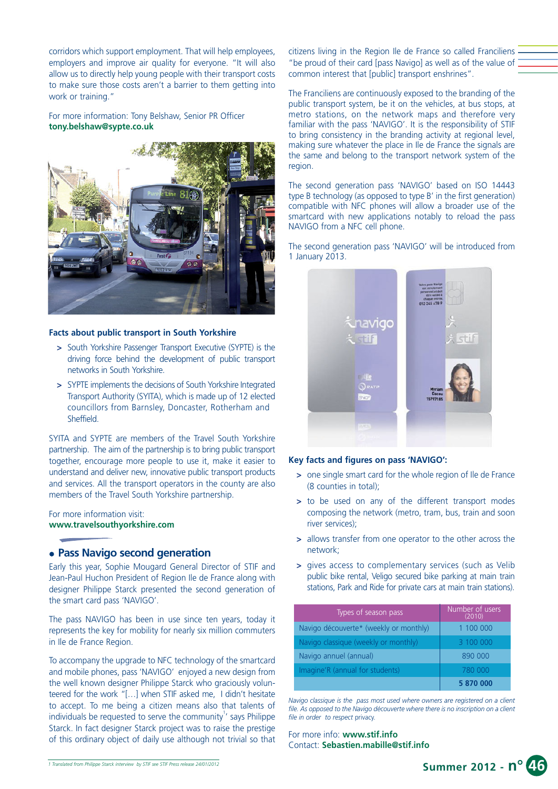corridors which support employment. That will help employees, employers and improve air quality for everyone. "It will also allow us to directly help young people with their transport costs to make sure those costs aren't a barrier to them getting into work or training."

For more information: Tony Belshaw, Senior PR Officer **tony.belshaw@sypte.co.uk**



## **Facts about public transport in South Yorkshire**

- **>** South Yorkshire Passenger Transport Executive (SYPTE) is the driving force behind the development of public transport networks in South Yorkshire.
- **>** SYPTE implements the decisions of South Yorkshire Integrated Transport Authority (SYITA), which is made up of 12 elected councillors from Barnsley, Doncaster, Rotherham and **Sheffield**

SYITA and SYPTE are members of the Travel South Yorkshire partnership. The aim of the partnership is to bring public transport together, encourage more people to use it, make it easier to understand and deliver new, innovative public transport products and services. All the transport operators in the county are also members of the Travel South Yorkshire partnership.

For more information visit: **www.travelsouthyorkshire.com**

## **• Pass Navigo second generation**

Early this year, Sophie Mougard General Director of STIF and Jean-Paul Huchon President of Region Ile de France along with designer Philippe Starck presented the second generation of the smart card pass 'NAVIGO'.

The pass NAVIGO has been in use since ten years, today it represents the key for mobility for nearly six million commuters in Ile de France Region.

To accompany the upgrade to NFC technology of the smartcard and mobile phones, pass 'NAVIGO' enjoyed a new design from the well known designer Philippe Starck who graciously volunteered for the work "[…] when STIF asked me, I didn't hesitate to accept. To me being a citizen means also that talents of individuals be requested to serve the community $1$  says Philippe Starck. In fact designer Starck project was to raise the prestige of this ordinary object of daily use although not trivial so that citizens living in the Region Ile de France so called Franciliens "be proud of their card [pass Navigo] as well as of the value of common interest that [public] transport enshrines".

The Franciliens are continuously exposed to the branding of the public transport system, be it on the vehicles, at bus stops, at metro stations, on the network maps and therefore very familiar with the pass 'NAVIGO'. It is the responsibility of STIF to bring consistency in the branding activity at regional level, making sure whatever the place in Ile de France the signals are the same and belong to the transport network system of the region.

The second generation pass 'NAVIGO' based on ISO 14443 type B technology (as opposed to type B' in the first generation) compatible with NFC phones will allow a broader use of the smartcard with new applications notably to reload the pass NAVIGO from a NFC cell phone.

The second generation pass 'NAVIGO' will be introduced from 1 January 2013.



## **Key facts and figures on pass 'NAVIGO':**

- **>** one single smart card for the whole region of Ile de France (8 counties in total);
- **>** to be used on any of the different transport modes composing the network (metro, tram, bus, train and soon river services);
- **>** allows transfer from one operator to the other across the network;
- **>** gives access to complementary services (such as Velib public bike rental, Veligo secured bike parking at main train stations, Park and Ride for private cars at main train stations).

| Types of season pass                   | Number of users<br>(2010) |
|----------------------------------------|---------------------------|
| Navigo découverte* (weekly or monthly) | 1 100 000                 |
| Navigo classique (weekly or monthly)   | 3 100 000                 |
| Navigo annuel (annual)                 | 890 000                   |
| Imagine'R (annual for students)        | 780 000                   |
|                                        | 5 870 000                 |

*Navigo classique is the pass most used where owners are registered on a client file. As opposed to the Navigo découverte where there is no inscription on a client file in order to respect* privacy.

For more info: **www.stif.info** Contact: **Sebastien.mabille@stif.info**